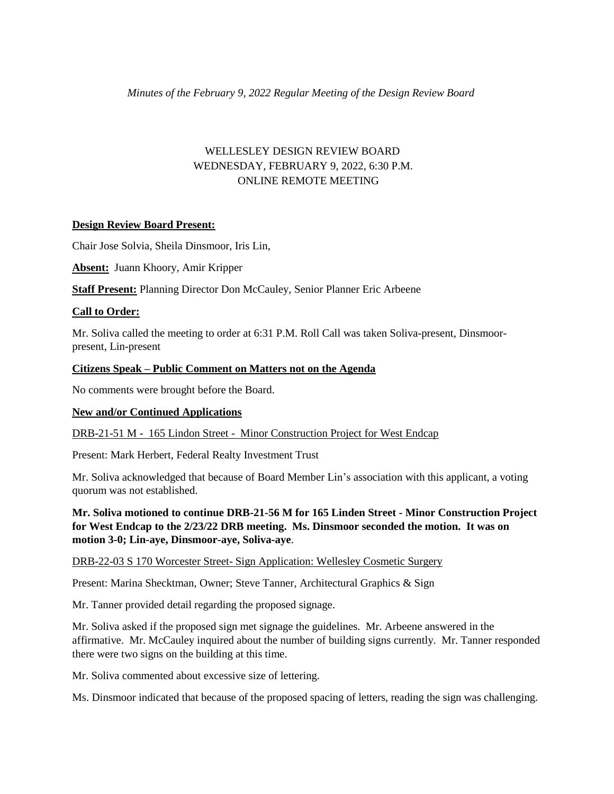# WELLESLEY DESIGN REVIEW BOARD WEDNESDAY, FEBRUARY 9, 2022, 6:30 P.M. ONLINE REMOTE MEETING

# **Design Review Board Present:**

Chair Jose Solvia, Sheila Dinsmoor, Iris Lin,

**Absent:** Juann Khoory, Amir Kripper

**Staff Present:** Planning Director Don McCauley, Senior Planner Eric Arbeene

# **Call to Order:**

Mr. Soliva called the meeting to order at 6:31 P.M. Roll Call was taken Soliva-present, Dinsmoorpresent, Lin-present

## **Citizens Speak – Public Comment on Matters not on the Agenda**

No comments were brought before the Board.

# **New and/or Continued Applications**

DRB-21-51 M - 165 Lindon Street - Minor Construction Project for West Endcap

Present: Mark Herbert, Federal Realty Investment Trust

Mr. Soliva acknowledged that because of Board Member Lin's association with this applicant, a voting quorum was not established.

**Mr. Soliva motioned to continue DRB-21-56 M for 165 Linden Street - Minor Construction Project for West Endcap to the 2/23/22 DRB meeting. Ms. Dinsmoor seconded the motion. It was on motion 3-0; Lin-aye, Dinsmoor-aye, Soliva-aye**.

### DRB-22-03 S 170 Worcester Street- Sign Application: Wellesley Cosmetic Surgery

Present: Marina Shecktman, Owner; Steve Tanner, Architectural Graphics & Sign

Mr. Tanner provided detail regarding the proposed signage.

Mr. Soliva asked if the proposed sign met signage the guidelines. Mr. Arbeene answered in the affirmative. Mr. McCauley inquired about the number of building signs currently. Mr. Tanner responded there were two signs on the building at this time.

Mr. Soliva commented about excessive size of lettering.

Ms. Dinsmoor indicated that because of the proposed spacing of letters, reading the sign was challenging.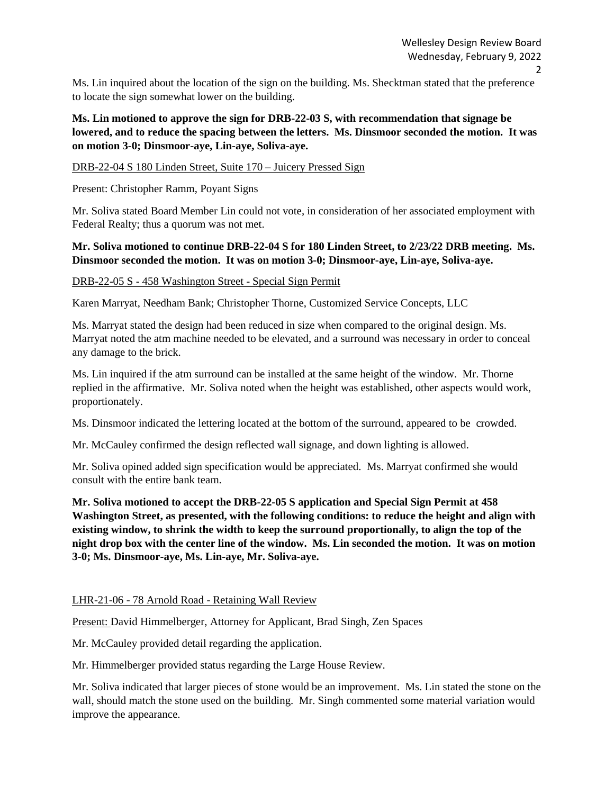Ms. Lin inquired about the location of the sign on the building. Ms. Shecktman stated that the preference to locate the sign somewhat lower on the building.

# **Ms. Lin motioned to approve the sign for DRB-22-03 S, with recommendation that signage be lowered, and to reduce the spacing between the letters. Ms. Dinsmoor seconded the motion. It was on motion 3-0; Dinsmoor-aye, Lin-aye, Soliva-aye.**

# DRB-22-04 S 180 Linden Street, Suite 170 – Juicery Pressed Sign

Present: Christopher Ramm, Poyant Signs

Mr. Soliva stated Board Member Lin could not vote, in consideration of her associated employment with Federal Realty; thus a quorum was not met.

# **Mr. Soliva motioned to continue DRB-22-04 S for 180 Linden Street, to 2/23/22 DRB meeting. Ms. Dinsmoor seconded the motion. It was on motion 3-0; Dinsmoor-aye, Lin-aye, Soliva-aye.**

## DRB-22-05 S - 458 Washington Street - Special Sign Permit

Karen Marryat, Needham Bank; Christopher Thorne, Customized Service Concepts, LLC

Ms. Marryat stated the design had been reduced in size when compared to the original design. Ms. Marryat noted the atm machine needed to be elevated, and a surround was necessary in order to conceal any damage to the brick.

Ms. Lin inquired if the atm surround can be installed at the same height of the window. Mr. Thorne replied in the affirmative. Mr. Soliva noted when the height was established, other aspects would work, proportionately.

Ms. Dinsmoor indicated the lettering located at the bottom of the surround, appeared to be crowded.

Mr. McCauley confirmed the design reflected wall signage, and down lighting is allowed.

Mr. Soliva opined added sign specification would be appreciated. Ms. Marryat confirmed she would consult with the entire bank team.

**Mr. Soliva motioned to accept the DRB-22-05 S application and Special Sign Permit at 458 Washington Street, as presented, with the following conditions: to reduce the height and align with existing window, to shrink the width to keep the surround proportionally, to align the top of the night drop box with the center line of the window. Ms. Lin seconded the motion. It was on motion 3-0; Ms. Dinsmoor-aye, Ms. Lin-aye, Mr. Soliva-aye.**

### LHR-21-06 - 78 Arnold Road - Retaining Wall Review

Present: David Himmelberger, Attorney for Applicant, Brad Singh, Zen Spaces

Mr. McCauley provided detail regarding the application.

Mr. Himmelberger provided status regarding the Large House Review.

Mr. Soliva indicated that larger pieces of stone would be an improvement. Ms. Lin stated the stone on the wall, should match the stone used on the building. Mr. Singh commented some material variation would improve the appearance.